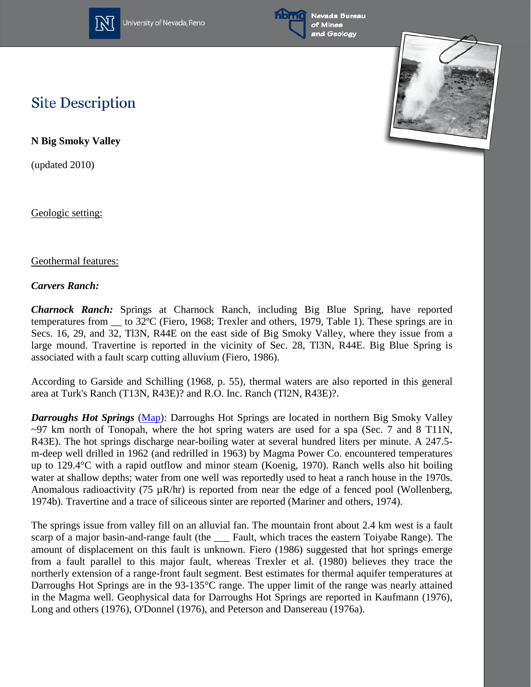

University of Nevada, Reno



Nevada Bureau of Mines and Geology



## **Site Description**

**N Big Smoky Valley**

(updated 2010)

Geologic setting:

## Geothermal features:

## *Carvers Ranch:*

*Charnock Ranch:* Springs at Charnock Ranch, including Big Blue Spring, have reported temperatures from \_\_ to 32ºC (Fiero, 1968; Trexler and others, 1979, Table 1). These springs are in Secs. 16, 29, and 32, Tl3N, R44E on the east side of Big Smoky Valley, where they issue from a large mound. Travertine is reported in the vicinity of Sec. 28, Tl3N, R44E. Big Blue Spring is associated with a fault scarp cutting alluvium (Fiero, 1986).

According to Garside and Schilling (1968, p. 55), thermal waters are also reported in this general area at Turk's Ranch (T13N, R43E)? and R.O. Inc. Ranch (Tl2N, R43E)?.

*Darroughs Hot Springs* [\(Map\)](http://www.nbmg.unr.edu/geothermal/detailedmaps/Darroughs%20Hot%20Springs.pdf): Darroughs Hot Springs are located in northern Big Smoky Valley  $\sim$ 97 km north of Tonopah, where the hot spring waters are used for a spa (Sec. 7 and 8 T11N, R43E). The hot springs discharge near-boiling water at several hundred liters per minute. A 247.5 m-deep well drilled in 1962 (and redrilled in 1963) by Magma Power Co. encountered temperatures up to 129.4°C with a rapid outflow and minor steam (Koenig, 1970). Ranch wells also hit boiling water at shallow depths; water from one well was reportedly used to heat a ranch house in the 1970s. Anomalous radioactivity (75  $\mu$ R/hr) is reported from near the edge of a fenced pool (Wollenberg, 1974b). Travertine and a trace of siliceous sinter are reported (Mariner and others, 1974).

The springs issue from valley fill on an alluvial fan. The mountain front about 2.4 km west is a fault scarp of a major basin-and-range fault (the Fault, which traces the eastern Toiyabe Range). The amount of displacement on this fault is unknown. Fiero (1986) suggested that hot springs emerge from a fault parallel to this major fault, whereas Trexler et al. (1980) believes they trace the northerly extension of a range-front fault segment. Best estimates for thermal aquifer temperatures at Darroughs Hot Springs are in the 93-135°C range. The upper limit of the range was nearly attained in the Magma well. Geophysical data for Darroughs Hot Springs are reported in Kaufmann (1976), Long and others (1976), O'Donnel (1976), and Peterson and Dansereau (1976a).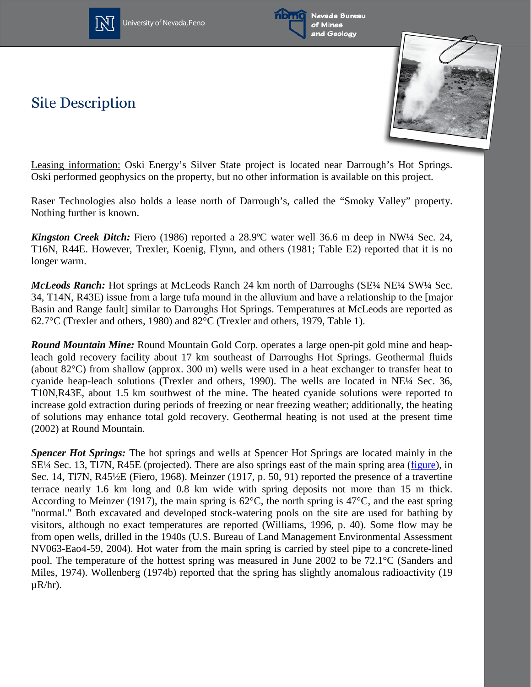

**Site Description** 







Leasing information: Oski Energy's Silver State project is located near Darrough's Hot Springs. Oski performed geophysics on the property, but no other information is available on this project.

Raser Technologies also holds a lease north of Darrough's, called the "Smoky Valley" property. Nothing further is known.

*Kingston Creek Ditch:* Fiero (1986) reported a 28.9ºC water well 36.6 m deep in NW¼ Sec. 24, T16N, R44E. However, Trexler, Koenig, Flynn, and others (1981; Table E2) reported that it is no longer warm.

*McLeods Ranch:* Hot springs at McLeods Ranch 24 km north of Darroughs (SE¼ NE¼ SW¼ Sec. 34, T14N, R43E) issue from a large tufa mound in the alluvium and have a relationship to the [major Basin and Range fault] similar to Darroughs Hot Springs. Temperatures at McLeods are reported as 62.7°C (Trexler and others, 1980) and 82°C (Trexler and others, 1979, Table 1).

*Round Mountain Mine:* Round Mountain Gold Corp. operates a large open-pit gold mine and heapleach gold recovery facility about 17 km southeast of Darroughs Hot Springs. Geothermal fluids (about 82°C) from shallow (approx. 300 m) wells were used in a heat exchanger to transfer heat to cyanide heap-leach solutions (Trexler and others, 1990). The wells are located in NE¼ Sec. 36, T10N,R43E, about 1.5 km southwest of the mine. The heated cyanide solutions were reported to increase gold extraction during periods of freezing or near freezing weather; additionally, the heating of solutions may enhance total gold recovery. Geothermal heating is not used at the present time (2002) at Round Mountain.

*Spencer Hot Springs:* The hot springs and wells at Spencer Hot Springs are located mainly in the SE¼ Sec. 13, Tl7N, R45E (projected). There are also springs east of the main spring area [\(figure\)](http://www.nbmg.unr.edu/geothermal/figures/fig30.pdf), in Sec. 14, Tl7N, R45½E (Fiero, 1968). Meinzer (1917, p. 50, 91) reported the presence of a travertine terrace nearly 1.6 km long and 0.8 km wide with spring deposits not more than 15 m thick. According to Meinzer (1917), the main spring is  $62^{\circ}$ C, the north spring is 47 $^{\circ}$ C, and the east spring "normal." Both excavated and developed stock-watering pools on the site are used for bathing by visitors, although no exact temperatures are reported (Williams, 1996, p. 40). Some flow may be from open wells, drilled in the 1940s (U.S. Bureau of Land Management Environmental Assessment NV063-Eao4-59, 2004). Hot water from the main spring is carried by steel pipe to a concrete-lined pool. The temperature of the hottest spring was measured in June 2002 to be 72.1°C (Sanders and Miles, 1974). Wollenberg (1974b) reported that the spring has slightly anomalous radioactivity (19  $\mu R/hr$ ).